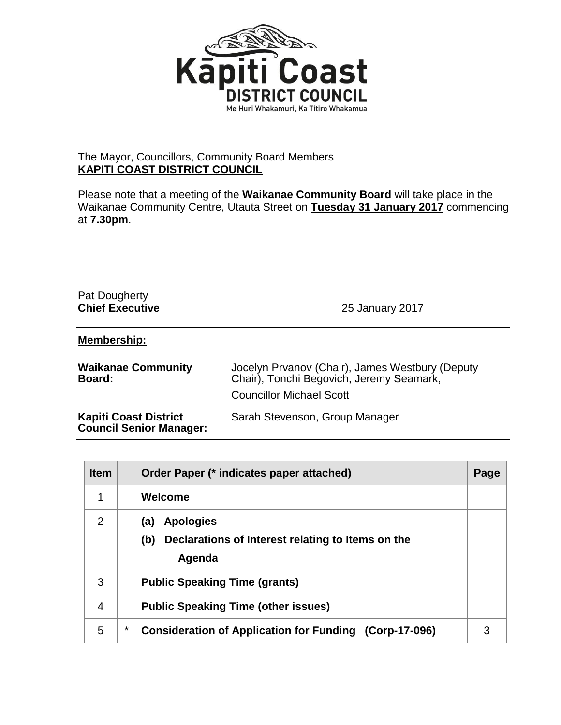

## The Mayor, Councillors, Community Board Members **KAPITI COAST DISTRICT COUNCIL**

Please note that a meeting of the **Waikanae Community Board** will take place in the Waikanae Community Centre, Utauta Street on **Tuesday 31 January 2017** commencing at **7.30pm**.

| Pat Dougherty<br><b>Chief Executive</b>                        | 25 January 2017                                                                                                                |
|----------------------------------------------------------------|--------------------------------------------------------------------------------------------------------------------------------|
| Membership:                                                    |                                                                                                                                |
| <b>Waikanae Community</b><br><b>Board:</b>                     | Jocelyn Prvanov (Chair), James Westbury (Deputy<br>Chair), Tonchi Begovich, Jeremy Seamark,<br><b>Councillor Michael Scott</b> |
| <b>Kapiti Coast District</b><br><b>Council Senior Manager:</b> | Sarah Stevenson, Group Manager                                                                                                 |

| <b>Item</b> | Order Paper (* indicates paper attached)                                                      | Page |
|-------------|-----------------------------------------------------------------------------------------------|------|
| 1           | Welcome                                                                                       |      |
| 2           | <b>Apologies</b><br>(a)<br>(b)<br>Declarations of Interest relating to Items on the<br>Agenda |      |
| 3           | <b>Public Speaking Time (grants)</b>                                                          |      |
| 4           | <b>Public Speaking Time (other issues)</b>                                                    |      |
| 5           | *<br><b>Consideration of Application for Funding (Corp-17-096)</b>                            | 3    |